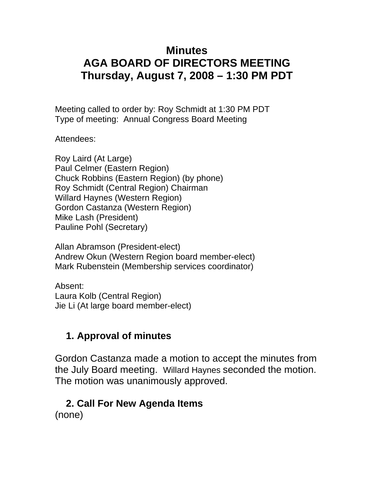## **Minutes AGA BOARD OF DIRECTORS MEETING Thursday, August 7, 2008 – 1:30 PM PDT**

Meeting called to order by: Roy Schmidt at 1:30 PM PDT Type of meeting: Annual Congress Board Meeting

Attendees:

Roy Laird (At Large) Paul Celmer (Eastern Region) Chuck Robbins (Eastern Region) (by phone) Roy Schmidt (Central Region) Chairman Willard Haynes (Western Region) Gordon Castanza (Western Region) Mike Lash (President) Pauline Pohl (Secretary)

Allan Abramson (President-elect) Andrew Okun (Western Region board member-elect) Mark Rubenstein (Membership services coordinator)

Absent: Laura Kolb (Central Region) Jie Li (At large board member-elect)

### **1. Approval of minutes**

Gordon Castanza made a motion to accept the minutes from the July Board meeting. Willard Haynes seconded the motion. The motion was unanimously approved.

## **2. Call For New Agenda Items**

(none)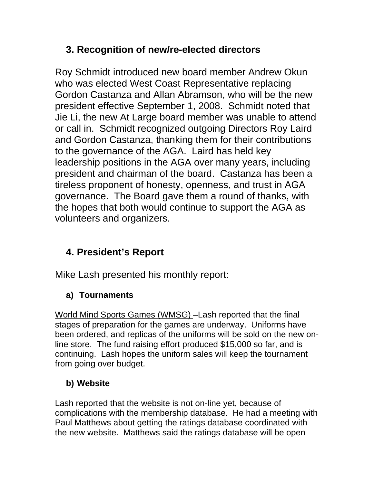## **3. Recognition of new/re-elected directors**

Roy Schmidt introduced new board member Andrew Okun who was elected West Coast Representative replacing Gordon Castanza and Allan Abramson, who will be the new president effective September 1, 2008. Schmidt noted that Jie Li, the new At Large board member was unable to attend or call in. Schmidt recognized outgoing Directors Roy Laird and Gordon Castanza, thanking them for their contributions to the governance of the AGA. Laird has held key leadership positions in the AGA over many years, including president and chairman of the board. Castanza has been a tireless proponent of honesty, openness, and trust in AGA governance. The Board gave them a round of thanks, with the hopes that both would continue to support the AGA as volunteers and organizers.

# **4. President's Report**

Mike Lash presented his monthly report:

### **a) Tournaments**

World Mind Sports Games (WMSG) –Lash reported that the final stages of preparation for the games are underway. Uniforms have been ordered, and replicas of the uniforms will be sold on the new online store. The fund raising effort produced \$15,000 so far, and is continuing. Lash hopes the uniform sales will keep the tournament from going over budget.

## **b) Website**

Lash reported that the website is not on-line yet, because of complications with the membership database. He had a meeting with Paul Matthews about getting the ratings database coordinated with the new website. Matthews said the ratings database will be open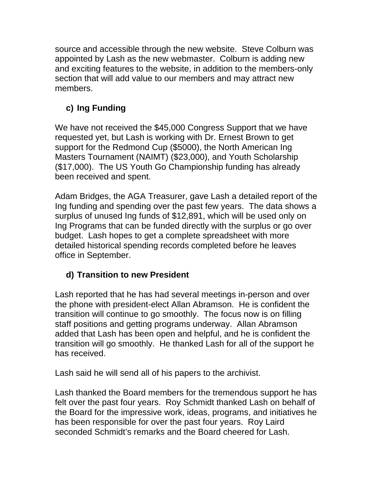source and accessible through the new website. Steve Colburn was appointed by Lash as the new webmaster. Colburn is adding new and exciting features to the website, in addition to the members-only section that will add value to our members and may attract new members.

#### **c) Ing Funding**

We have not received the \$45,000 Congress Support that we have requested yet, but Lash is working with Dr. Ernest Brown to get support for the Redmond Cup (\$5000), the North American Ing Masters Tournament (NAIMT) (\$23,000), and Youth Scholarship (\$17,000). The US Youth Go Championship funding has already been received and spent.

Adam Bridges, the AGA Treasurer, gave Lash a detailed report of the Ing funding and spending over the past few years. The data shows a surplus of unused Ing funds of \$12,891, which will be used only on Ing Programs that can be funded directly with the surplus or go over budget. Lash hopes to get a complete spreadsheet with more detailed historical spending records completed before he leaves office in September.

#### **d) Transition to new President**

Lash reported that he has had several meetings in-person and over the phone with president-elect Allan Abramson. He is confident the transition will continue to go smoothly. The focus now is on filling staff positions and getting programs underway. Allan Abramson added that Lash has been open and helpful, and he is confident the transition will go smoothly. He thanked Lash for all of the support he has received.

Lash said he will send all of his papers to the archivist.

Lash thanked the Board members for the tremendous support he has felt over the past four years. Roy Schmidt thanked Lash on behalf of the Board for the impressive work, ideas, programs, and initiatives he has been responsible for over the past four years. Roy Laird seconded Schmidt's remarks and the Board cheered for Lash.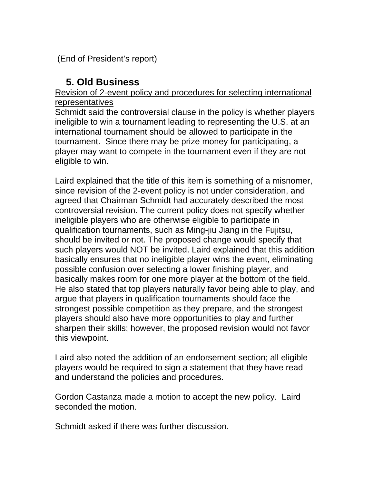(End of President's report)

### **5. Old Business**

#### Revision of 2-event policy and procedures for selecting international representatives

Schmidt said the controversial clause in the policy is whether players ineligible to win a tournament leading to representing the U.S. at an international tournament should be allowed to participate in the tournament. Since there may be prize money for participating, a player may want to compete in the tournament even if they are not eligible to win.

Laird explained that the title of this item is something of a misnomer, since revision of the 2-event policy is not under consideration, and agreed that Chairman Schmidt had accurately described the most controversial revision. The current policy does not specify whether ineligible players who are otherwise eligible to participate in qualification tournaments, such as Ming-jiu Jiang in the Fujitsu, should be invited or not. The proposed change would specify that such players would NOT be invited. Laird explained that this addition basically ensures that no ineligible player wins the event, eliminating possible confusion over selecting a lower finishing player, and basically makes room for one more player at the bottom of the field. He also stated that top players naturally favor being able to play, and argue that players in qualification tournaments should face the strongest possible competition as they prepare, and the strongest players should also have more opportunities to play and further sharpen their skills; however, the proposed revision would not favor this viewpoint.

Laird also noted the addition of an endorsement section; all eligible players would be required to sign a statement that they have read and understand the policies and procedures.

Gordon Castanza made a motion to accept the new policy. Laird seconded the motion.

Schmidt asked if there was further discussion.